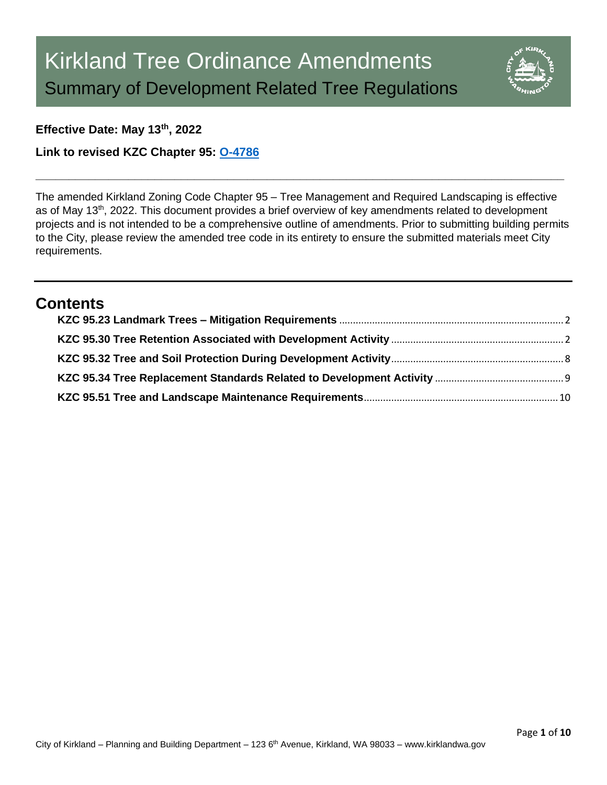

## **Effective Date: May 13th, 2022**

**Link to revised KZC Chapter 95: [O-4786](https://www.kirklandwa.gov/files/sharedassets/public/planning-amp-building/kzc-95-o-4786-adopted.pdf)**

The amended Kirkland Zoning Code Chapter 95 – Tree Management and Required Landscaping is effective as of May 13<sup>th</sup>, 2022. This document provides a brief overview of key amendments related to development projects and is not intended to be a comprehensive outline of amendments. Prior to submitting building permits to the City, please review the amended tree code in its entirety to ensure the submitted materials meet City requirements.

**\_\_\_\_\_\_\_\_\_\_\_\_\_\_\_\_\_\_\_\_\_\_\_\_\_\_\_\_\_\_\_\_\_\_\_\_\_\_\_\_\_\_\_\_\_\_\_\_\_\_\_\_\_\_\_\_\_\_\_\_\_\_\_\_\_\_\_\_\_\_\_\_\_\_\_\_\_\_\_\_**

# **Contents**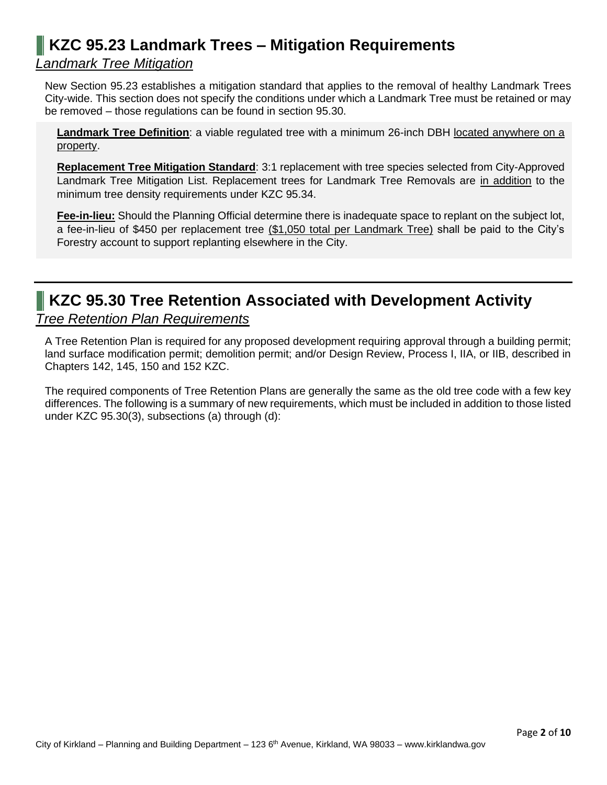# <span id="page-1-0"></span>**KZC 95.23 Landmark Trees – Mitigation Requirements**

# *Landmark Tree Mitigation*

New Section 95.23 establishes a mitigation standard that applies to the removal of healthy Landmark Trees City-wide. This section does not specify the conditions under which a Landmark Tree must be retained or may be removed – those regulations can be found in section 95.30.

**Landmark Tree Definition**: a viable regulated tree with a minimum 26-inch DBH located anywhere on a property.

**Replacement Tree Mitigation Standard**: 3:1 replacement with tree species selected from City-Approved Landmark Tree Mitigation List. Replacement trees for Landmark Tree Removals are in addition to the minimum tree density requirements under KZC 95.34.

**Fee-in-lieu:** Should the Planning Official determine there is inadequate space to replant on the subject lot, a fee-in-lieu of \$450 per replacement tree (\$1,050 total per Landmark Tree) shall be paid to the City's Forestry account to support replanting elsewhere in the City.

# <span id="page-1-1"></span>**KZC 95.30 Tree Retention Associated with Development Activity**

## *Tree Retention Plan Requirements*

A Tree Retention Plan is required for any proposed development requiring approval through a building permit; land surface modification permit; demolition permit; and/or Design Review, Process I, IIA, or IIB, described in Chapters 142, 145, 150 and 152 KZC.

The required components of Tree Retention Plans are generally the same as the old tree code with a few key differences. The following is a summary of new requirements, which must be included in addition to those listed under KZC 95.30(3), subsections (a) through (d):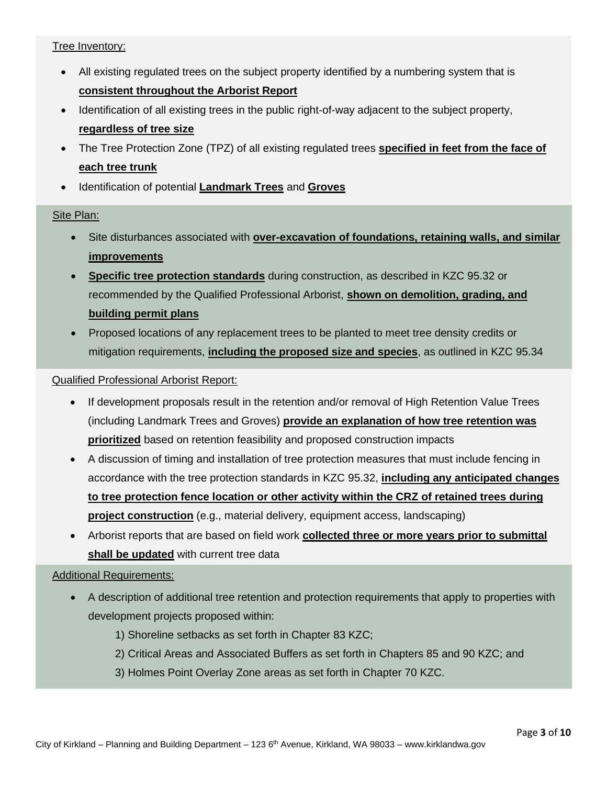### Tree Inventory:

- All existing regulated trees on the subject property identified by a numbering system that is **consistent throughout the Arborist Report**
- Identification of all existing trees in the public right-of-way adjacent to the subject property, **regardless of tree size**
- The Tree Protection Zone (TPZ) of all existing regulated trees **specified in feet from the face of each tree trunk**
- Identification of potential **Landmark Trees** and **Groves**

#### Site Plan:

- Site disturbances associated with **over-excavation of foundations, retaining walls, and similar improvements**
- **Specific tree protection standards** during construction, as described in KZC 95.32 or recommended by the Qualified Professional Arborist, **shown on demolition, grading, and building permit plans**
- Proposed locations of any replacement trees to be planted to meet tree density credits or mitigation requirements, **including the proposed size and species**, as outlined in KZC 95.34

#### Qualified Professional Arborist Report:

- If development proposals result in the retention and/or removal of High Retention Value Trees (including Landmark Trees and Groves) **provide an explanation of how tree retention was prioritized** based on retention feasibility and proposed construction impacts
- A discussion of timing and installation of tree protection measures that must include fencing in accordance with the tree protection standards in KZC 95.32, **including any anticipated changes to tree protection fence location or other activity within the CRZ of retained trees during project construction** (e.g., material delivery, equipment access, landscaping)
- Arborist reports that are based on field work **collected three or more years prior to submittal shall be updated** with current tree data

#### Additional Requirements:

- A description of additional tree retention and protection requirements that apply to properties with development projects proposed within:
	- 1) Shoreline setbacks as set forth in Chapter 83 KZC;
	- 2) Critical Areas and Associated Buffers as set forth in Chapters 85 and 90 KZC; and
	- 3) Holmes Point Overlay Zone areas as set forth in Chapter 70 KZC.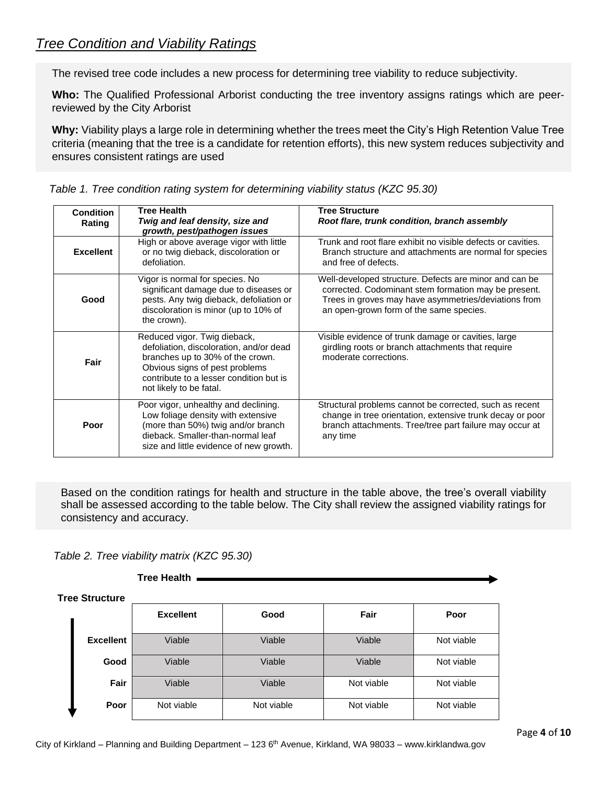# *Tree Condition and Viability Ratings*

The revised tree code includes a new process for determining tree viability to reduce subjectivity.

**Who:** The Qualified Professional Arborist conducting the tree inventory assigns ratings which are peerreviewed by the City Arborist

**Why:** Viability plays a large role in determining whether the trees meet the City's High Retention Value Tree criteria (meaning that the tree is a candidate for retention efforts), this new system reduces subjectivity and ensures consistent ratings are used

| <b>Condition</b><br>Rating | <b>Tree Health</b><br>Twig and leaf density, size and<br>growth, pest/pathogen issues                                                                                                                               | <b>Tree Structure</b><br>Root flare, trunk condition, branch assembly                                                                                                                                             |
|----------------------------|---------------------------------------------------------------------------------------------------------------------------------------------------------------------------------------------------------------------|-------------------------------------------------------------------------------------------------------------------------------------------------------------------------------------------------------------------|
| <b>Excellent</b>           | High or above average vigor with little<br>or no twig dieback, discoloration or<br>defoliation.                                                                                                                     | Trunk and root flare exhibit no visible defects or cavities.<br>Branch structure and attachments are normal for species<br>and free of defects.                                                                   |
| Good                       | Vigor is normal for species. No<br>significant damage due to diseases or<br>pests. Any twig dieback, defoliation or<br>discoloration is minor (up to 10% of<br>the crown).                                          | Well-developed structure. Defects are minor and can be<br>corrected. Codominant stem formation may be present.<br>Trees in groves may have asymmetries/deviations from<br>an open-grown form of the same species. |
| Fair                       | Reduced vigor. Twig dieback,<br>defoliation, discoloration, and/or dead<br>branches up to 30% of the crown.<br>Obvious signs of pest problems<br>contribute to a lesser condition but is<br>not likely to be fatal. | Visible evidence of trunk damage or cavities, large<br>girdling roots or branch attachments that require<br>moderate corrections.                                                                                 |
| Poor                       | Poor vigor, unhealthy and declining.<br>Low foliage density with extensive<br>(more than 50%) twig and/or branch<br>dieback. Smaller-than-normal leaf<br>size and little evidence of new growth.                    | Structural problems cannot be corrected, such as recent<br>change in tree orientation, extensive trunk decay or poor<br>branch attachments. Tree/tree part failure may occur at<br>any time                       |

*Table 1. Tree condition rating system for determining viability status (KZC 95.30)*

Based on the condition ratings for health and structure in the table above, the tree's overall viability shall be assessed according to the table below. The City shall review the assigned viability ratings for consistency and accuracy.

#### *Table 2. Tree viability matrix (KZC 95.30)*

**Tree Health**

| <b>Tree Structure</b> |                  |            |            |            |  |
|-----------------------|------------------|------------|------------|------------|--|
|                       | <b>Excellent</b> | Good       | Fair       | Poor       |  |
| <b>Excellent</b>      | Viable           | Viable     | Viable     | Not viable |  |
| Good                  | Viable           | Viable     | Viable     | Not viable |  |
| Fair                  | Viable           | Viable     | Not viable | Not viable |  |
| Poor                  | Not viable       | Not viable | Not viable | Not viable |  |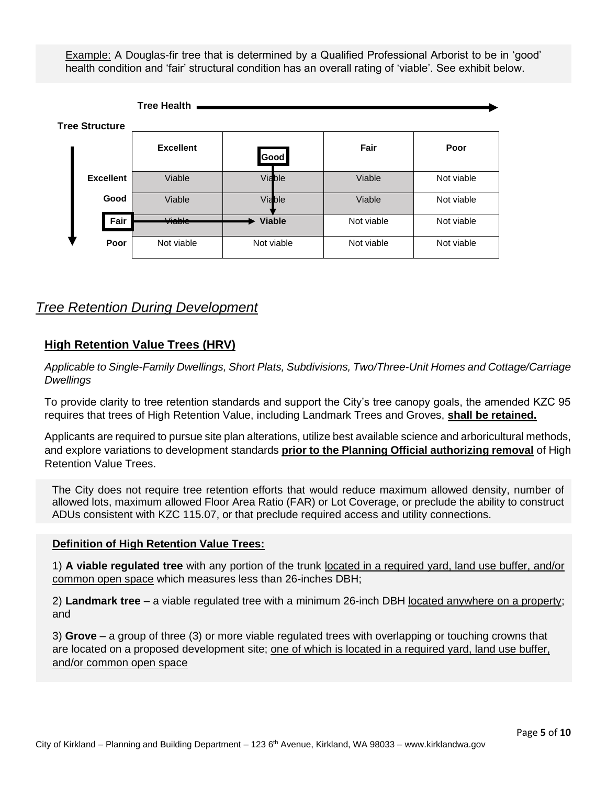Example: A Douglas-fir tree that is determined by a Qualified Professional Arborist to be in 'good' health condition and 'fair' structural condition has an overall rating of 'viable'. See exhibit below.



## *Tree Retention During Development*

## **High Retention Value Trees (HRV)**

*Applicable to Single-Family Dwellings, Short Plats, Subdivisions, Two/Three-Unit Homes and Cottage/Carriage Dwellings*

To provide clarity to tree retention standards and support the City's tree canopy goals, the amended KZC 95 requires that trees of High Retention Value, including Landmark Trees and Groves, **shall be retained.**

Applicants are required to pursue site plan alterations, utilize best available science and arboricultural methods, and explore variations to development standards **prior to the Planning Official authorizing removal** of High Retention Value Trees.

The City does not require tree retention efforts that would reduce maximum allowed density, number of allowed lots, maximum allowed Floor Area Ratio (FAR) or Lot Coverage, or preclude the ability to construct ADUs consistent with KZC 115.07, or that preclude required access and utility connections.

#### **Definition of High Retention Value Trees:**

1) **A viable regulated tree** with any portion of the trunk located in a required yard, land use buffer, and/or common open space which measures less than 26-inches DBH;

2) **Landmark tree** – a viable regulated tree with a minimum 26-inch DBH located anywhere on a property; and

3) **Grove** – a group of three (3) or more viable regulated trees with overlapping or touching crowns that are located on a proposed development site; one of which is located in a required yard, land use buffer, and/or common open space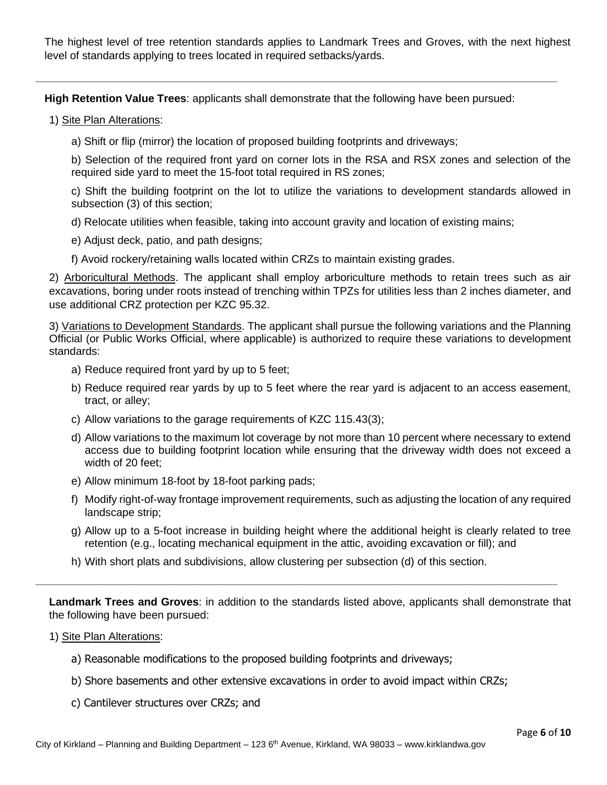The highest level of tree retention standards applies to Landmark Trees and Groves, with the next highest level of standards applying to trees located in required setbacks/yards.

**\_\_\_\_\_\_\_\_\_\_\_\_\_\_\_\_\_\_\_\_\_\_\_\_\_\_\_\_\_\_\_\_\_\_\_\_\_\_\_\_\_\_\_\_\_\_\_\_\_\_\_\_\_\_\_\_\_\_\_\_\_\_\_\_\_\_\_\_\_\_\_\_\_\_\_\_\_\_\_\_\_\_\_\_\_\_**

**High Retention Value Trees**: applicants shall demonstrate that the following have been pursued:

1) Site Plan Alterations:

a) Shift or flip (mirror) the location of proposed building footprints and driveways;

b) Selection of the required front yard on corner lots in the RSA and RSX zones and selection of the required side yard to meet the 15-foot total required in RS zones;

c) Shift the building footprint on the lot to utilize the variations to development standards allowed in subsection (3) of this section;

d) Relocate utilities when feasible, taking into account gravity and location of existing mains;

e) Adjust deck, patio, and path designs;

f) Avoid rockery/retaining walls located within CRZs to maintain existing grades.

2) Arboricultural Methods. The applicant shall employ arboriculture methods to retain trees such as air excavations, boring under roots instead of trenching within TPZs for utilities less than 2 inches diameter, and use additional CRZ protection per KZC 95.32.

3) Variations to Development Standards. The applicant shall pursue the following variations and the Planning Official (or Public Works Official, where applicable) is authorized to require these variations to development standards:

- a) Reduce required front yard by up to 5 feet;
- b) Reduce required rear yards by up to 5 feet where the rear yard is adjacent to an access easement, tract, or alley;
- c) Allow variations to the garage requirements of KZC 115.43(3);
- d) Allow variations to the maximum lot coverage by not more than 10 percent where necessary to extend access due to building footprint location while ensuring that the driveway width does not exceed a width of 20 feet;
- e) Allow minimum 18-foot by 18-foot parking pads;
- f) Modify right-of-way frontage improvement requirements, such as adjusting the location of any required landscape strip;
- g) Allow up to a 5-foot increase in building height where the additional height is clearly related to tree retention (e.g., locating mechanical equipment in the attic, avoiding excavation or fill); and
- h) With short plats and subdivisions, allow clustering per subsection (d) of this section.

**Landmark Trees and Groves**: in addition to the standards listed above, applicants shall demonstrate that the following have been pursued:

**\_\_\_\_\_\_\_\_\_\_\_\_\_\_\_\_\_\_\_\_\_\_\_\_\_\_\_\_\_\_\_\_\_\_\_\_\_\_\_\_\_\_\_\_\_\_\_\_\_\_\_\_\_\_\_\_\_\_\_\_\_\_\_\_\_\_\_\_\_\_\_\_\_\_\_\_\_\_\_\_\_\_\_\_\_\_**

- 1) Site Plan Alterations:
	- a) Reasonable modifications to the proposed building footprints and driveways;
	- b) Shore basements and other extensive excavations in order to avoid impact within CRZs;
	- c) Cantilever structures over CRZs; and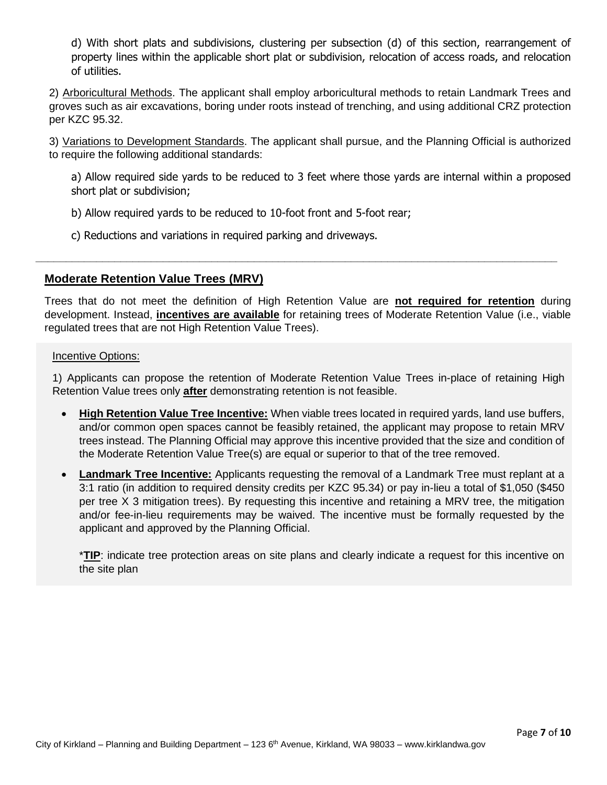d) With short plats and subdivisions, clustering per subsection (d) of this section, rearrangement of property lines within the applicable short plat or subdivision, relocation of access roads, and relocation of utilities.

2) Arboricultural Methods. The applicant shall employ arboricultural methods to retain Landmark Trees and groves such as air excavations, boring under roots instead of trenching, and using additional CRZ protection per KZC 95.32.

3) Variations to Development Standards. The applicant shall pursue, and the Planning Official is authorized to require the following additional standards:

a) Allow required side yards to be reduced to 3 feet where those yards are internal within a proposed short plat or subdivision;

b) Allow required yards to be reduced to 10-foot front and 5-foot rear;

c) Reductions and variations in required parking and driveways.

### **Moderate Retention Value Trees (MRV)**

Trees that do not meet the definition of High Retention Value are **not required for retention** during development. Instead, **incentives are available** for retaining trees of Moderate Retention Value (i.e., viable regulated trees that are not High Retention Value Trees).

**\_\_\_\_\_\_\_\_\_\_\_\_\_\_\_\_\_\_\_\_\_\_\_\_\_\_\_\_\_\_\_\_\_\_\_\_\_\_\_\_\_\_\_\_\_\_\_\_\_\_\_\_\_\_\_\_\_\_\_\_\_\_\_\_\_\_\_\_\_\_\_\_\_\_\_\_\_\_\_\_\_\_\_\_\_\_**

Incentive Options:

1) Applicants can propose the retention of Moderate Retention Value Trees in-place of retaining High Retention Value trees only **after** demonstrating retention is not feasible.

- **High Retention Value Tree Incentive:** When viable trees located in required yards, land use buffers, and/or common open spaces cannot be feasibly retained, the applicant may propose to retain MRV trees instead. The Planning Official may approve this incentive provided that the size and condition of the Moderate Retention Value Tree(s) are equal or superior to that of the tree removed.
- **Landmark Tree Incentive:** Applicants requesting the removal of a Landmark Tree must replant at a 3:1 ratio (in addition to required density credits per KZC 95.34) or pay in-lieu a total of \$1,050 (\$450 per tree X 3 mitigation trees). By requesting this incentive and retaining a MRV tree, the mitigation and/or fee-in-lieu requirements may be waived. The incentive must be formally requested by the applicant and approved by the Planning Official.

\***TIP**: indicate tree protection areas on site plans and clearly indicate a request for this incentive on the site plan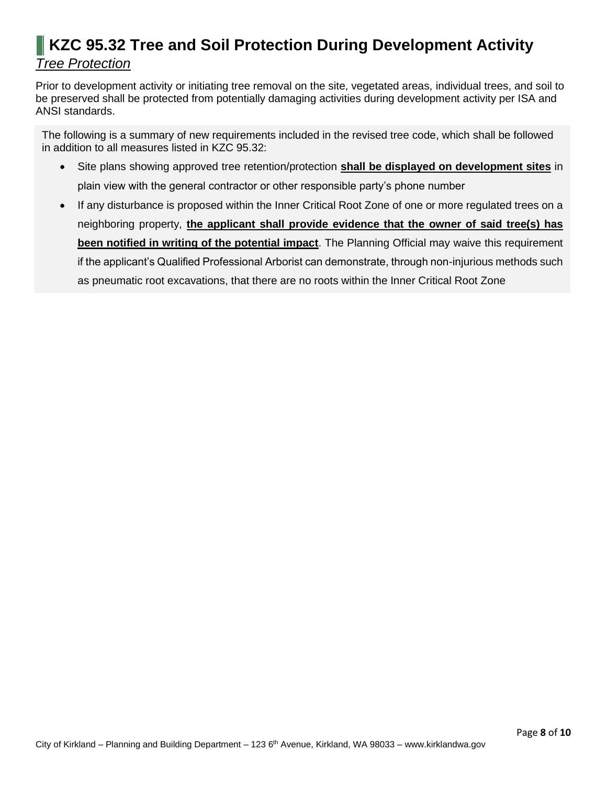# <span id="page-7-0"></span>**KZC 95.32 Tree and Soil Protection During Development Activity** *Tree Protection*

Prior to development activity or initiating tree removal on the site, vegetated areas, individual trees, and soil to be preserved shall be protected from potentially damaging activities during development activity per ISA and ANSI standards.

The following is a summary of new requirements included in the revised tree code, which shall be followed in addition to all measures listed in KZC 95.32:

- Site plans showing approved tree retention/protection **shall be displayed on development sites** in plain view with the general contractor or other responsible party's phone number
- If any disturbance is proposed within the Inner Critical Root Zone of one or more regulated trees on a neighboring property, **the applicant shall provide evidence that the owner of said tree(s) has been notified in writing of the potential impact**. The Planning Official may waive this requirement if the applicant's Qualified Professional Arborist can demonstrate, through non-injurious methods such as pneumatic root excavations, that there are no roots within the Inner Critical Root Zone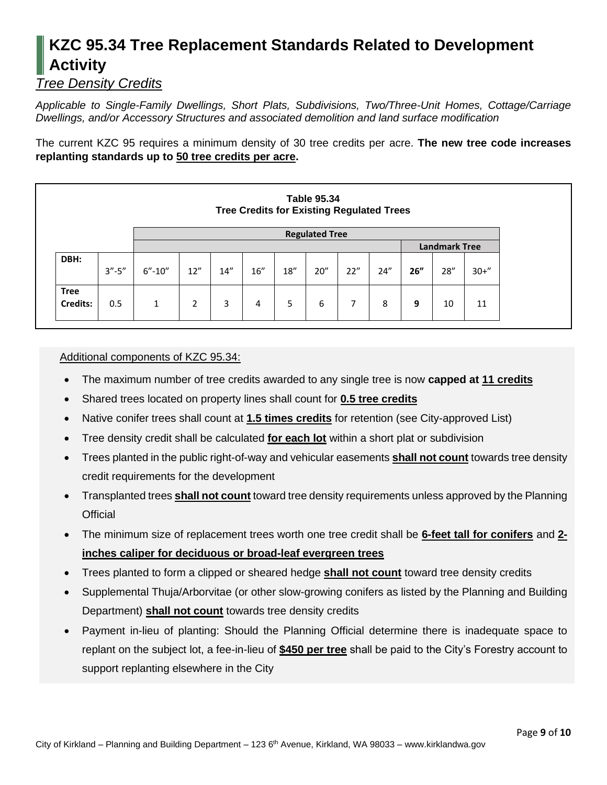# <span id="page-8-0"></span>**KZC 95.34 Tree Replacement Standards Related to Development Activity**

# *Tree Density Credits*

*Applicable to Single-Family Dwellings, Short Plats, Subdivisions, Two/Three-Unit Homes, Cottage/Carriage Dwellings, and/or Accessory Structures and associated demolition and land surface modification*

The current KZC 95 requires a minimum density of 30 tree credits per acre. **The new tree code increases replanting standards up to 50 tree credits per acre.** 

| <b>Table 95.34</b><br><b>Tree Credits for Existing Regulated Trees</b> |             |                       |     |     |      |      |      |                      |      |     |      |          |
|------------------------------------------------------------------------|-------------|-----------------------|-----|-----|------|------|------|----------------------|------|-----|------|----------|
|                                                                        |             | <b>Regulated Tree</b> |     |     |      |      |      |                      |      |     |      |          |
|                                                                        |             |                       |     |     |      |      |      | <b>Landmark Tree</b> |      |     |      |          |
| DBH:                                                                   | $3'' - 5''$ | $6'' - 10''$          | 12" | 14" | 16'' | 18'' | 20'' | 22"                  | 24'' | 26" | 28'' | $30 + 7$ |
| <b>Tree</b><br>Credits:                                                | 0.5         | 1                     | 2   | 3   | 4    | 5    | 6    | 7                    | 8    | 9   | 10   | 11       |

#### Additional components of KZC 95.34:

- The maximum number of tree credits awarded to any single tree is now **capped at 11 credits**
- Shared trees located on property lines shall count for **0.5 tree credits**
- Native conifer trees shall count at **1.5 times credits** for retention (see City-approved List)
- Tree density credit shall be calculated **for each lot** within a short plat or subdivision
- Trees planted in the public right-of-way and vehicular easements **shall not count** towards tree density credit requirements for the development
- Transplanted trees **shall not count** toward tree density requirements unless approved by the Planning **Official**
- The minimum size of replacement trees worth one tree credit shall be **6-feet tall for conifers** and **2 inches caliper for deciduous or broad-leaf evergreen trees**
- Trees planted to form a clipped or sheared hedge **shall not count** toward tree density credits
- Supplemental Thuja/Arborvitae (or other slow-growing conifers as listed by the Planning and Building Department) **shall not count** towards tree density credits
- Payment in-lieu of planting: Should the Planning Official determine there is inadequate space to replant on the subject lot, a fee-in-lieu of **\$450 per tree** shall be paid to the City's Forestry account to support replanting elsewhere in the City